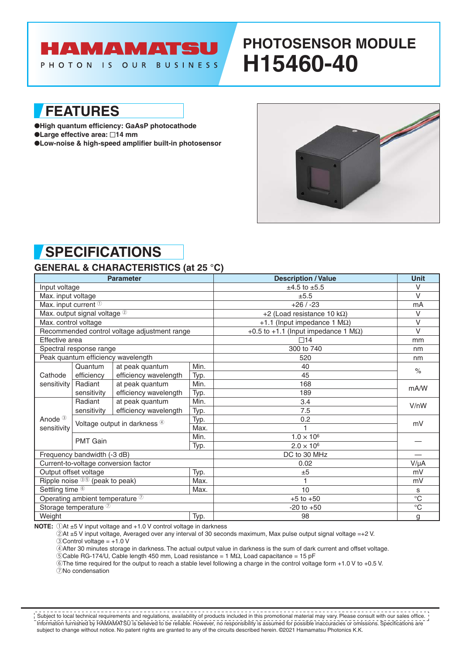### HAMAMATSU PHOTON IS OUR BUSINESS

# **PHOTOSENSOR MODULE H15460-40**

**FEATURES**

- ●**High quantum efficiency: GaAsP photocathode**
- ●**Large effective area:** □14 mm
- ●**Low-noise & high-speed amplifier built-in photosensor**



## **SPECIFICATIONS**

#### **GENERAL & CHARACTERISTICS (at 25 °C)**

| <b>Parameter</b>                                                                                                                                                                                                                                                                                                                         |                              |                                      |      | <b>Description / Value</b>                  | <b>Unit</b>          |
|------------------------------------------------------------------------------------------------------------------------------------------------------------------------------------------------------------------------------------------------------------------------------------------------------------------------------------------|------------------------------|--------------------------------------|------|---------------------------------------------|----------------------|
| Input voltage                                                                                                                                                                                                                                                                                                                            |                              |                                      |      | $±4.5$ to $±5.5$                            | $\vee$               |
| Max. input voltage<br>Max. input current <sup>1</sup>                                                                                                                                                                                                                                                                                    |                              |                                      |      | ±5.5                                        | $\vee$               |
|                                                                                                                                                                                                                                                                                                                                          |                              |                                      |      | $+26/ -23$                                  | mA                   |
| Max. output signal voltage 2<br>Max. control voltage<br>Recommended control voltage adjustment range<br>Effective area<br>Spectral response range<br>Peak quantum efficiency wavelength<br>Quantum<br>at peak quantum<br>efficiency<br>Cathode<br>at peak quantum<br>Radiant<br>sensitivity<br>sensitivity<br>Radiant<br>at peak quantum |                              |                                      |      | +2 (Load resistance 10 k $\Omega$ )         | $\vee$               |
|                                                                                                                                                                                                                                                                                                                                          |                              |                                      |      | +1.1 (Input impedance 1 $M\Omega$ )         | $\vee$               |
|                                                                                                                                                                                                                                                                                                                                          |                              |                                      |      | +0.5 to +1.1 (Input impedance 1 $M\Omega$ ) | $\vee$               |
|                                                                                                                                                                                                                                                                                                                                          |                              |                                      |      | $\square$ 14                                | mm                   |
|                                                                                                                                                                                                                                                                                                                                          |                              |                                      |      | 300 to 740                                  | nm                   |
|                                                                                                                                                                                                                                                                                                                                          |                              |                                      |      | 520                                         | nm                   |
|                                                                                                                                                                                                                                                                                                                                          |                              |                                      | Min. | 40                                          | $\frac{1}{\sqrt{2}}$ |
|                                                                                                                                                                                                                                                                                                                                          |                              | efficiency wavelength                | Typ. | 45                                          |                      |
|                                                                                                                                                                                                                                                                                                                                          |                              |                                      | Min. | 168                                         | mA/W                 |
|                                                                                                                                                                                                                                                                                                                                          |                              | efficiency wavelength                | Typ. | 189                                         |                      |
|                                                                                                                                                                                                                                                                                                                                          |                              |                                      | Min. | 3.4                                         | V/nW                 |
| Anode <sup>3</sup><br>sensitivity                                                                                                                                                                                                                                                                                                        | sensitivity                  | efficiency wavelength                | Typ. | 7.5                                         |                      |
|                                                                                                                                                                                                                                                                                                                                          | Voltage output in darkness 4 |                                      | Typ. | 0.2                                         | mV                   |
|                                                                                                                                                                                                                                                                                                                                          |                              |                                      | Max. |                                             |                      |
|                                                                                                                                                                                                                                                                                                                                          | <b>PMT Gain</b>              |                                      | Min. | $1.0 \times 10^{6}$                         |                      |
|                                                                                                                                                                                                                                                                                                                                          |                              |                                      | Typ. | $2.0 \times 10^{6}$                         |                      |
| Frequency bandwidth (-3 dB)                                                                                                                                                                                                                                                                                                              |                              |                                      |      | DC to 30 MHz                                |                      |
|                                                                                                                                                                                                                                                                                                                                          |                              | Current-to-voltage conversion factor |      | 0.02                                        | $V/\mu A$            |
| Output offset voltage                                                                                                                                                                                                                                                                                                                    |                              |                                      | Typ. | ±5                                          | mV                   |
| Ripple noise 35 (peak to peak)                                                                                                                                                                                                                                                                                                           |                              |                                      | Max. |                                             | mV                   |
| Settling time <sup>6</sup>                                                                                                                                                                                                                                                                                                               |                              |                                      | Max. | 10                                          | s                    |
| Operating ambient temperature <sup>7</sup>                                                                                                                                                                                                                                                                                               |                              |                                      |      | $+5$ to $+50$                               | $\overline{C}$       |
| Storage temperature <sup>7</sup>                                                                                                                                                                                                                                                                                                         |                              |                                      |      | $-20$ to $+50$                              | $^{\circ}$ C         |
| Weight                                                                                                                                                                                                                                                                                                                                   |                              |                                      | Typ. | 98                                          | g                    |

**NOTE:**  $\bigcirc$ At ±5 V input voltage and +1.0 V control voltage in darkness

2At ±5 V input voltage, Averaged over any interval of 30 seconds maximum, Max pulse output signal voltage =+2 V.  $(3)$ Control voltage =  $+1.0$  V

4After 30 minutes storage in darkness. The actual output value in darkness is the sum of dark current and offset voltage.

5Cable RG-174/U, Cable length 450 mm, Load resistance = 1 MΩ, Load capacitance = 15 pF

6The time required for the output to reach a stable level following a charge in the control voltage form +1.0 V to +0.5 V.

7No condensation

Information furnished by HAMAMATSU is believed to be reliable. However, no responsibility is assumed for possible inaccuracies or omissions. Specifications are subject to change without notice. No patent rights are granted to any of the circuits described herein. ©2021 Hamamatsu Photonics K.K. **SUBJECT TO CONDUCT THE REVISE CONDUCT** THE CONDUCTS INTERFERING THE STATE THAT A SUBJECT THE SUBJECT THE SUBJECT T<br>In Subject to local technical requirements and regulations, availability of products included in this prom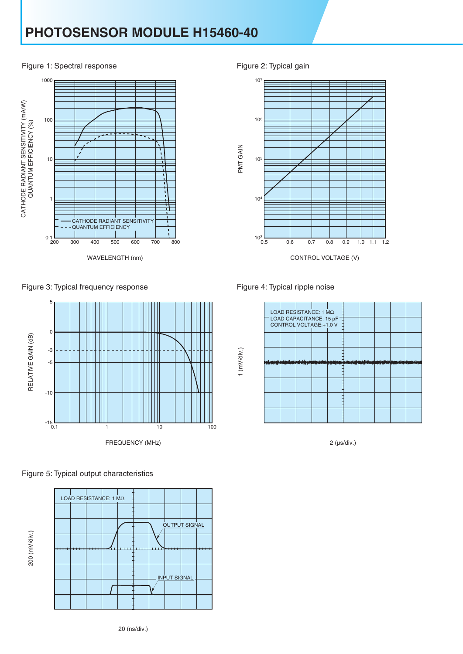## **PHOTOSENSOR MODULE H15460-40**

#### Figure 1: Spectral response Figure 2: Typical gain



Figure 3: Typical frequency response









Figure 4: Typical ripple noise



2 (µs/div.)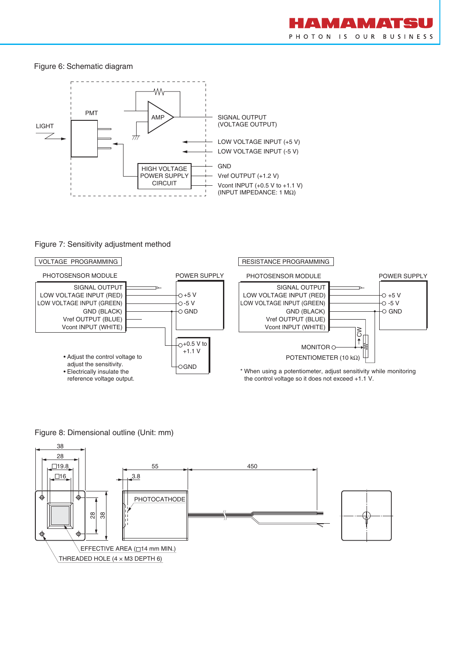#### Figure 6: Schematic diagram



#### Figure 7: Sensitivity adjustment method



Figure 8: Dimensional outline (Unit: mm)